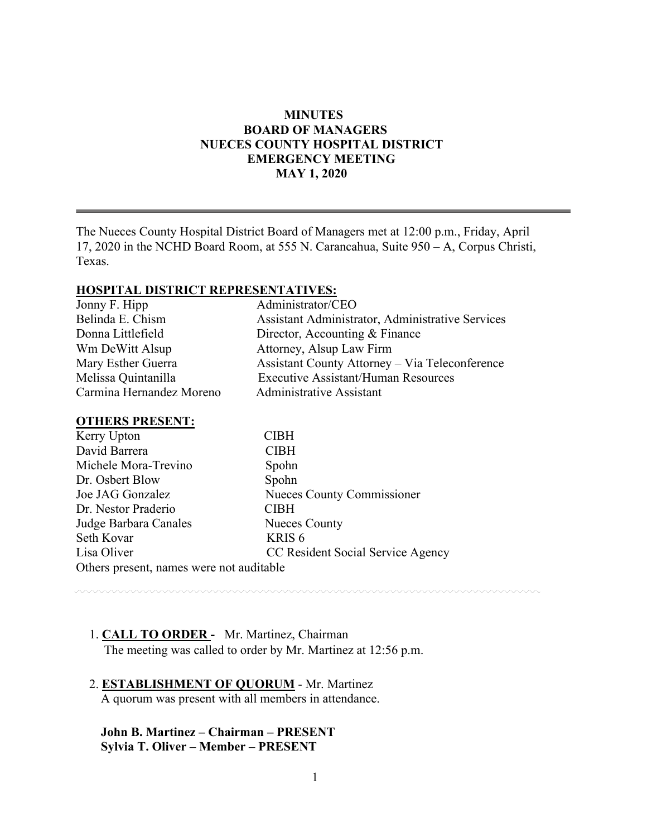## **MINUTES BOARD OF MANAGERS NUECES COUNTY HOSPITAL DISTRICT EMERGENCY MEETING MAY 1, 2020**

The Nueces County Hospital District Board of Managers met at 12:00 p.m., Friday, April 17, 2020 in the NCHD Board Room, at 555 N. Carancahua, Suite 950 – A, Corpus Christi, Texas.

#### **HOSPITAL DISTRICT REPRESENTATIVES:**

| Jonny F. Hipp            | Administrator/CEO                                     |
|--------------------------|-------------------------------------------------------|
| Belinda E. Chism         | Assistant Administrator, Administrative Services      |
| Donna Littlefield        | Director, Accounting & Finance                        |
| Wm DeWitt Alsup          | Attorney, Alsup Law Firm                              |
| Mary Esther Guerra       | <b>Assistant County Attorney – Via Teleconference</b> |
| Melissa Quintanilla      | <b>Executive Assistant/Human Resources</b>            |
| Carmina Hernandez Moreno | <b>Administrative Assistant</b>                       |
|                          |                                                       |

#### **OTHERS PRESENT:**

| Kerry Upton                              | <b>CIBH</b>                       |  |
|------------------------------------------|-----------------------------------|--|
| David Barrera                            | <b>CIBH</b>                       |  |
| Michele Mora-Trevino                     | Spohn                             |  |
| Dr. Osbert Blow                          | Spohn                             |  |
| Joe JAG Gonzalez                         | Nueces County Commissioner        |  |
| Dr. Nestor Praderio                      | <b>CIBH</b>                       |  |
| Judge Barbara Canales                    | <b>Nueces County</b>              |  |
| Seth Kovar                               | KRIS <sub>6</sub>                 |  |
| Lisa Oliver                              | CC Resident Social Service Agency |  |
| Others present, names were not auditable |                                   |  |

<u>mmmmmmmmmm</u>

## 1. **CALL TO ORDER -** Mr. Martinez, Chairman

The meeting was called to order by Mr. Martinez at 12:56 p.m.

### 2. **ESTABLISHMENT OF QUORUM** - Mr. Martinez A quorum was present with all members in attendance.

## **John B. Martinez – Chairman – PRESENT Sylvia T. Oliver – Member – PRESENT**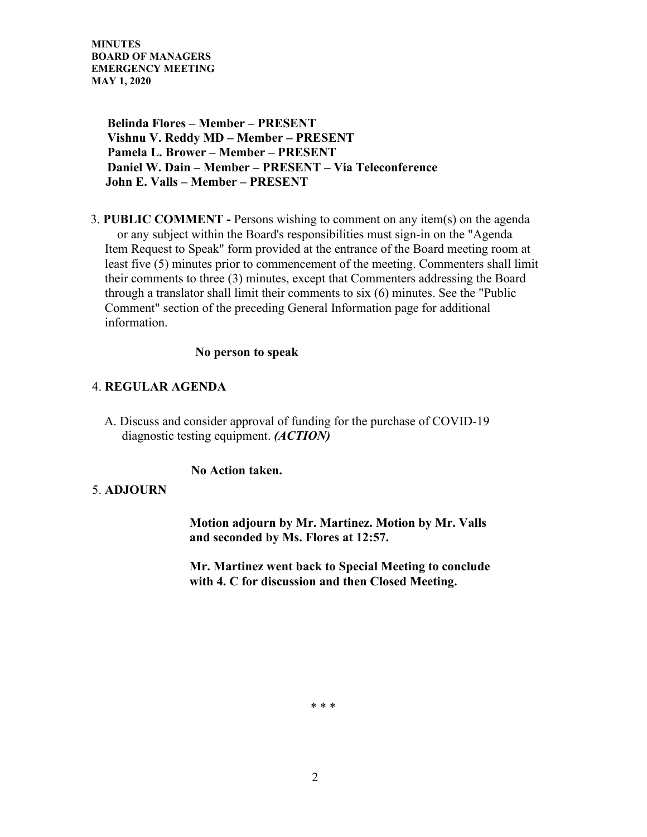**Belinda Flores – Member – PRESENT Vishnu V. Reddy MD – Member – PRESENT Pamela L. Brower – Member – PRESENT Daniel W. Dain – Member – PRESENT – Via Teleconference John E. Valls – Member – PRESENT** 

3. **PUBLIC COMMENT -** Persons wishing to comment on any item(s) on the agenda or any subject within the Board's responsibilities must sign-in on the "Agenda Item Request to Speak" form provided at the entrance of the Board meeting room at least five (5) minutes prior to commencement of the meeting. Commenters shall limit their comments to three (3) minutes, except that Commenters addressing the Board through a translator shall limit their comments to six (6) minutes. See the "Public Comment" section of the preceding General Information page for additional information.

### **No person to speak**

## 4. **REGULAR AGENDA**

A. Discuss and consider approval of funding for the purchase of COVID-19 diagnostic testing equipment. *(ACTION)*

## **No Action taken.**

## 5. **ADJOURN**

 **Motion adjourn by Mr. Martinez. Motion by Mr. Valls and seconded by Ms. Flores at 12:57.**

 **Mr. Martinez went back to Special Meeting to conclude with 4. C for discussion and then Closed Meeting.** 

\* \* \*